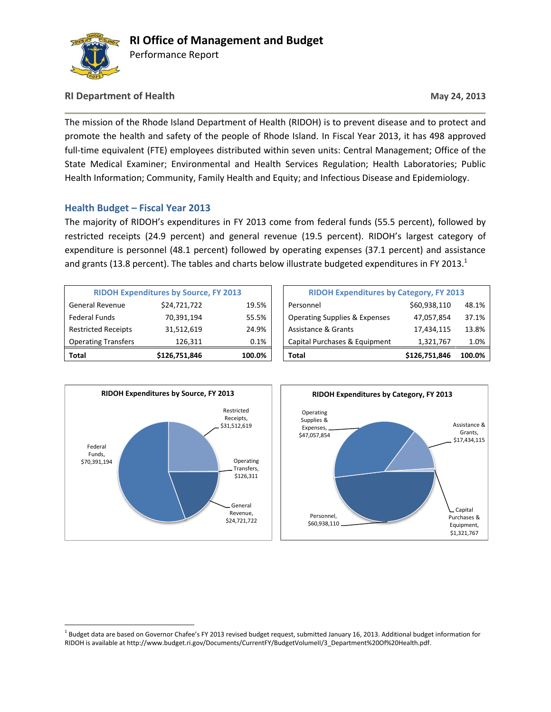

### **RI Department of Health May 24, 2013**

The mission of the Rhode Island Department of Health (RIDOH) is to prevent disease and to protect and promote the health and safety of the people of Rhode Island. In Fiscal Year 2013, it has 498 approved full-time equivalent (FTE) employees distributed within seven units: Central Management; Office of the State Medical Examiner; Environmental and Health Services Regulation; Health Laboratories; Public Health Information; Community, Family Health and Equity; and Infectious Disease and Epidemiology.

### **Health Budget – Fiscal Year 2013**

The majority of RIDOH's expenditures in FY 2013 come from federal funds (55.5 percent), followed by restricted receipts (24.9 percent) and general revenue (19.5 percent). RIDOH's largest category of expenditure is personnel (48.1 percent) followed by operating expenses (37.1 percent) and assistance and grants (13.8 percent). The tables and charts below illustrate budgeted expenditures in FY 2013.<sup>1</sup>

| Total                                        | \$126,751,846 | 100.0%                                         | Total                                    | \$126,751,846 | 100.0% |
|----------------------------------------------|---------------|------------------------------------------------|------------------------------------------|---------------|--------|
| <b>Operating Transfers</b>                   | 126.311       | 0.1%                                           | Capital Purchases & Equipment            | 1,321,767     | 1.0%   |
| <b>Restricted Receipts</b>                   | 31,512,619    | 24.9%                                          | <b>Assistance &amp; Grants</b>           | 17,434,115    | 13.8%  |
| <b>Federal Funds</b>                         | 70,391,194    | 55.5%                                          | <b>Operating Supplies &amp; Expenses</b> | 47,057,854    | 37.1%  |
| <b>General Revenue</b>                       | \$24,721,722  | 19.5%                                          | Personnel                                | \$60,938,110  | 48.1%  |
| <b>RIDOH Expenditures by Source, FY 2013</b> |               | <b>RIDOH Expenditures by Category, FY 2013</b> |                                          |               |        |

|                                              | \$126,751,846 | 100.0% | Total                                          | \$126,751,846 | 100.0% |
|----------------------------------------------|---------------|--------|------------------------------------------------|---------------|--------|
| ng Transfers                                 | 126.311       | 0.1%   | Capital Purchases & Equipment                  | 1,321,767     | 1.0%   |
| ed Receipts                                  | 31,512,619    | 24.9%  | <b>Assistance &amp; Grants</b>                 | 17,434,115    | 13.8%  |
| <b>Funds</b>                                 | 70,391,194    | 55.5%  | <b>Operating Supplies &amp; Expenses</b>       | 47,057,854    | 37.1%  |
| l Revenue                                    | \$24,721,722  | 19.5%  | Personnel                                      | \$60,938,110  | 48.1%  |
| <b>RIDOH Expenditures by Source, FY 2013</b> |               |        | <b>RIDOH Expenditures by Category, FY 2013</b> |               |        |



 $\overline{a}$ 



<sup>&</sup>lt;sup>1</sup> Budget data are based on Governor Chafee's FY 2013 revised budget request, submitted January 16, 2013. Additional budget information for RIDOH is available at http://www.budget.ri.gov/Documents/CurrentFY/BudgetVolumeII/3\_Department%20Of%20Health.pdf.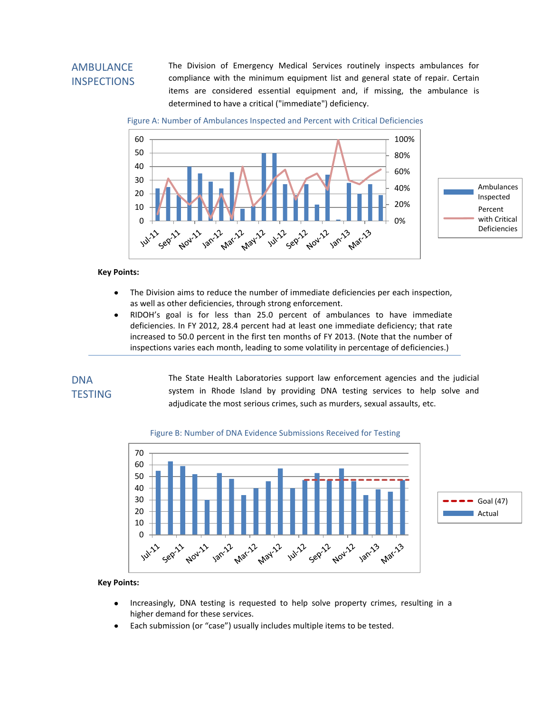# **AMBULANCE** INSPECTIONS

The Division of Emergency Medical Services routinely inspects ambulances for compliance with the minimum equipment list and general state of repair. Certain items are considered essential equipment and, if missing, the ambulance is determined to have a critical ("immediate") deficiency.

Figure A: Number of Ambulances Inspected and Percent with Critical Deficiencies



#### **Key Points:**

- The Division aims to reduce the number of immediate deficiencies per each inspection,  $\bullet$ as well as other deficiencies, through strong enforcement.
- RIDOH's goal is for less than 25.0 percent of ambulances to have immediate  $\bullet$ deficiencies. In FY 2012, 28.4 percent had at least one immediate deficiency; that rate increased to 50.0 percent in the first ten months of FY 2013. (Note that the number of inspections varies each month, leading to some volatility in percentage of deficiencies.)

### DNA **TESTING**

The State Health Laboratories support law enforcement agencies and the judicial system in Rhode Island by providing DNA testing services to help solve and adjudicate the most serious crimes, such as murders, sexual assaults, etc.

#### Figure B: Number of DNA Evidence Submissions Received for Testing



- Increasingly, DNA testing is requested to help solve property crimes, resulting in a  $\bullet$ higher demand for these services.
- Each submission (or "case") usually includes multiple items to be tested.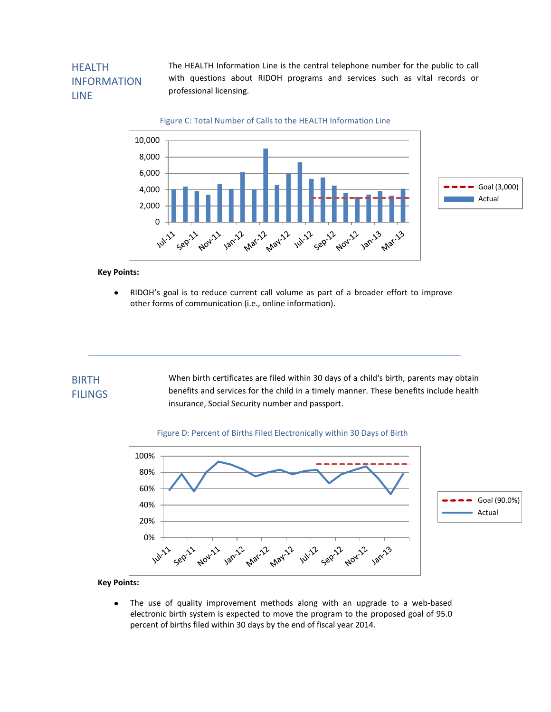# **HFALTH** INFORMATION LINE

The HEALTH Information Line is the central telephone number for the public to call with questions about RIDOH programs and services such as vital records or professional licensing.

Figure C: Total Number of Calls to the HEALTH Information Line



**Key Points:**

RIDOH's goal is to reduce current call volume as part of a broader effort to improve  $\bullet$ other forms of communication (i.e., online information).

#### When birth certificates are filed within 30 days of a child's birth, parents may obtain benefits and services for the child in a timely manner. These benefits include health insurance, Social Security number and passport. BIRTH FILINGS

#### Figure D: Percent of Births Filed Electronically within 30 Days of Birth



**Key Points:**

The use of quality improvement methods along with an upgrade to a web-based  $\bullet$ electronic birth system is expected to move the program to the proposed goal of 95.0 percent of births filed within 30 days by the end of fiscal year 2014.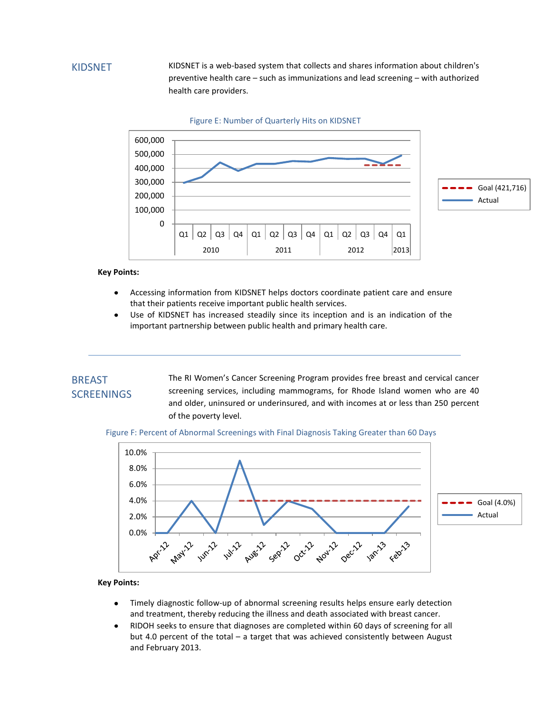### KIDSNET

KIDSNET is a web-based system that collects and shares information about children's preventive health care – such as immunizations and lead screening – with authorized health care providers.



**Key Points:**

- Accessing information from KIDSNET helps doctors coordinate patient care and ensure  $\bullet$ that their patients receive important public health services.
- Use of KIDSNET has increased steadily since its inception and is an indication of the  $\bullet$ important partnership between public health and primary health care.

### BREAST **SCREENINGS**

The RI Women's Cancer Screening Program provides free breast and cervical cancer screening services, including mammograms, for Rhode Island women who are 40 and older, uninsured or underinsured, and with incomes at or less than 250 percent of the poverty level.

Figure F: Percent of Abnormal Screenings with Final Diagnosis Taking Greater than 60 Days



- Timely diagnostic follow-up of abnormal screening results helps ensure early detection  $\bullet$ and treatment, thereby reducing the illness and death associated with breast cancer.
- RIDOH seeks to ensure that diagnoses are completed within 60 days of screening for all  $\bullet$ but 4.0 percent of the total – a target that was achieved consistently between August and February 2013.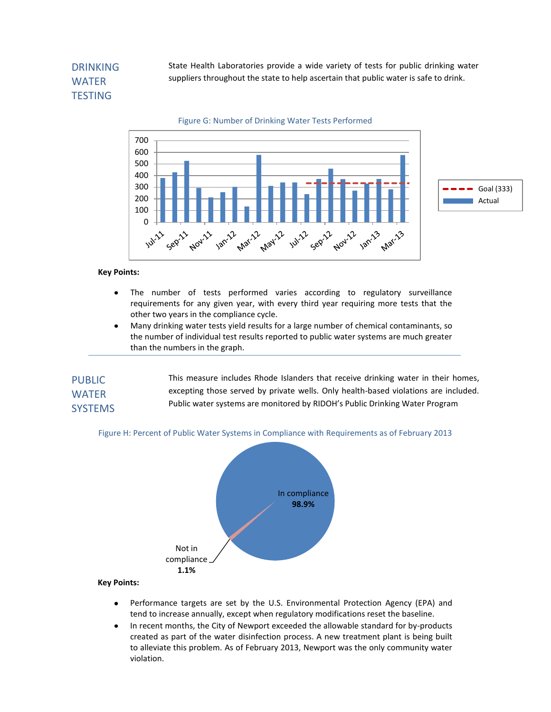# DRINKING WATER **TESTING**

State Health Laboratories provide a wide variety of tests for public drinking water suppliers throughout the state to help ascertain that public water is safe to drink.



**Key Points:**

- The number of tests performed varies according to regulatory surveillance  $\bullet$ requirements for any given year, with every third year requiring more tests that the other two years in the compliance cycle.
- $\bullet$ Many drinking water tests yield results for a large number of chemical contaminants, so the number of individual test results reported to public water systems are much greater than the numbers in the graph.

| <b>PUBLIC</b>  | This measure includes Rhode Islanders that receive drinking water in their homes,   |
|----------------|-------------------------------------------------------------------------------------|
| <b>WATER</b>   | excepting those served by private wells. Only health-based violations are included. |
| <b>SYSTEMS</b> | Public water systems are monitored by RIDOH's Public Drinking Water Program         |

Figure H: Percent of Public Water Systems in Compliance with Requirements as of February 2013



- Performance targets are set by the U.S. Environmental Protection Agency (EPA) and  $\bullet$ tend to increase annually, except when regulatory modifications reset the baseline.
- In recent months, the City of Newport exceeded the allowable standard for by-products  $\bullet$ created as part of the water disinfection process. A new treatment plant is being built to alleviate this problem. As of February 2013, Newport was the only community water violation.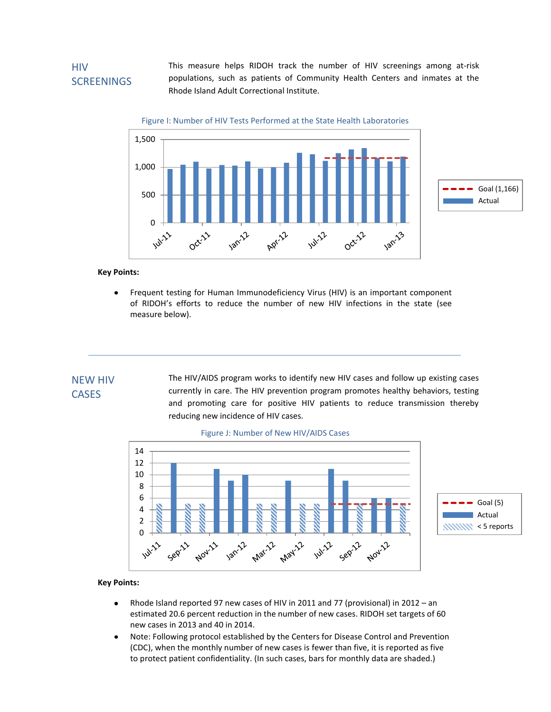## **HIV SCREENINGS**

This measure helps RIDOH track the number of HIV screenings among at-risk populations, such as patients of Community Health Centers and inmates at the Rhode Island Adult Correctional Institute.

Figure I: Number of HIV Tests Performed at the State Health Laboratories



**Key Points:**

Frequent testing for Human Immunodeficiency Virus (HIV) is an important component  $\bullet$ of RIDOH's efforts to reduce the number of new HIV infections in the state (see measure below).

# NEW HIV CASES

The HIV/AIDS program works to identify new HIV cases and follow up existing cases currently in care. The HIV prevention program promotes healthy behaviors, testing and promoting care for positive HIV patients to reduce transmission thereby reducing new incidence of HIV cases.





- Rhode Island reported 97 new cases of HIV in 2011 and 77 (provisional) in 2012 an  $\bullet$ estimated 20.6 percent reduction in the number of new cases. RIDOH set targets of 60 new cases in 2013 and 40 in 2014.
- Note: Following protocol established by the Centers for Disease Control and Prevention  $\bullet$ (CDC), when the monthly number of new cases is fewer than five, it is reported as five to protect patient confidentiality. (In such cases, bars for monthly data are shaded.)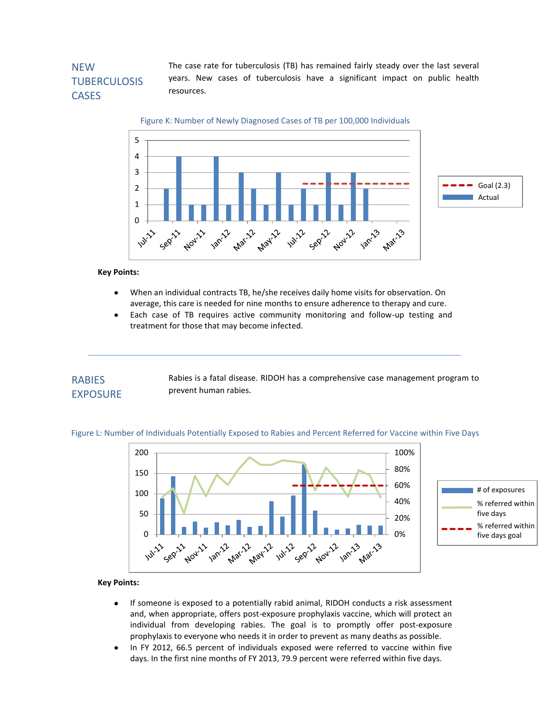# **NFW TUBERCULOSIS CASES**

 years. New cases of tuberculosis have a significant impact on public health The case rate for tuberculosis (TB) has remained fairly steady over the last several resources.

Figure K: Number of Newly Diagnosed Cases of TB per 100,000 Individuals



**Key Points:**

- When an individual contracts TB, he/she receives daily home visits for observation. On  $\bullet$ average, this care is needed for nine months to ensure adherence to therapy and cure.
- Each case of TB requires active community monitoring and follow-up testing and  $\bullet$ treatment for those that may become infected.

### RABIES EXPOSURE

Rabies is a fatal disease. RIDOH has a comprehensive case management program to prevent human rabies.





- If someone is exposed to a potentially rabid animal, RIDOH conducts a risk assessment  $\bullet$ and, when appropriate, offers post-exposure prophylaxis vaccine, which will protect an individual from developing rabies. The goal is to promptly offer post-exposure prophylaxis to everyone who needs it in order to prevent as many deaths as possible.
- $\bullet$ In FY 2012, 66.5 percent of individuals exposed were referred to vaccine within five days. In the first nine months of FY 2013, 79.9 percent were referred within five days.